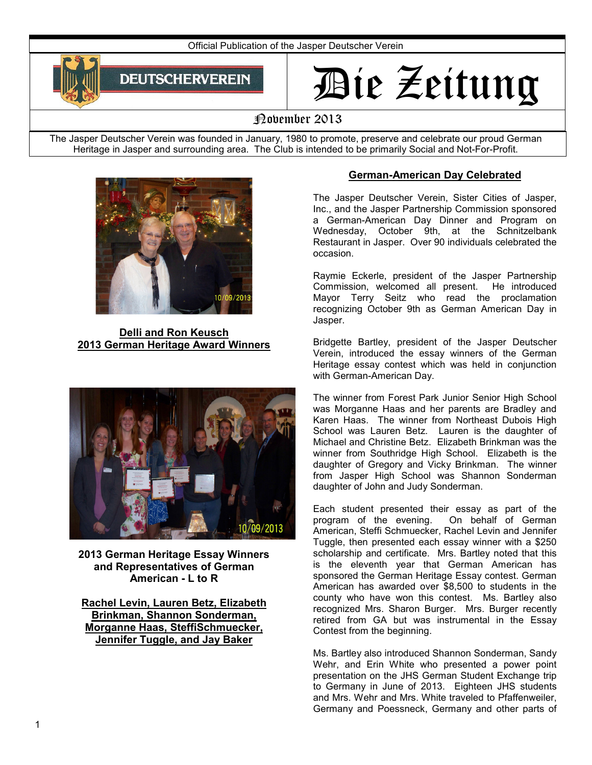Official Publication of the Jasper Deutscher Verein



# Die Zeitung

# November 2013

The Jasper Deutscher Verein was founded in January, 1980 to promote, preserve and celebrate our proud German Heritage in Jasper and surrounding area. The Club is intended to be primarily Social and Not-For-Profit.



**Delli and Ron Keusch 2013 German Heritage Award Winners** 



**2013 German Heritage Essay Winners and Representatives of German American - L to R** 

**Rachel Levin, Lauren Betz, Elizabeth Brinkman, Shannon Sonderman, Morganne Haas, SteffiSchmuecker, Jennifer Tuggle, and Jay Baker** 

# **German-American Day Celebrated**

The Jasper Deutscher Verein, Sister Cities of Jasper, Inc., and the Jasper Partnership Commission sponsored a German-American Day Dinner and Program on Wednesday, October 9th, at the Schnitzelbank Restaurant in Jasper. Over 90 individuals celebrated the occasion.

Raymie Eckerle, president of the Jasper Partnership Commission, welcomed all present. He introduced Mayor Terry Seitz who read the proclamation recognizing October 9th as German American Day in Jasper.

Bridgette Bartley, president of the Jasper Deutscher Verein, introduced the essay winners of the German Heritage essay contest which was held in conjunction with German-American Day.

The winner from Forest Park Junior Senior High School was Morganne Haas and her parents are Bradley and Karen Haas. The winner from Northeast Dubois High School was Lauren Betz. Lauren is the daughter of Michael and Christine Betz. Elizabeth Brinkman was the winner from Southridge High School. Elizabeth is the daughter of Gregory and Vicky Brinkman. The winner from Jasper High School was Shannon Sonderman daughter of John and Judy Sonderman.

Each student presented their essay as part of the program of the evening. On behalf of German American, Steffi Schmuecker, Rachel Levin and Jennifer Tuggle, then presented each essay winner with a \$250 scholarship and certificate. Mrs. Bartley noted that this is the eleventh year that German American has sponsored the German Heritage Essay contest. German American has awarded over \$8,500 to students in the county who have won this contest. Ms. Bartley also recognized Mrs. Sharon Burger. Mrs. Burger recently retired from GA but was instrumental in the Essay Contest from the beginning.

Ms. Bartley also introduced Shannon Sonderman, Sandy Wehr, and Erin White who presented a power point presentation on the JHS German Student Exchange trip to Germany in June of 2013. Eighteen JHS students and Mrs. Wehr and Mrs. White traveled to Pfaffenweiler, Germany and Poessneck, Germany and other parts of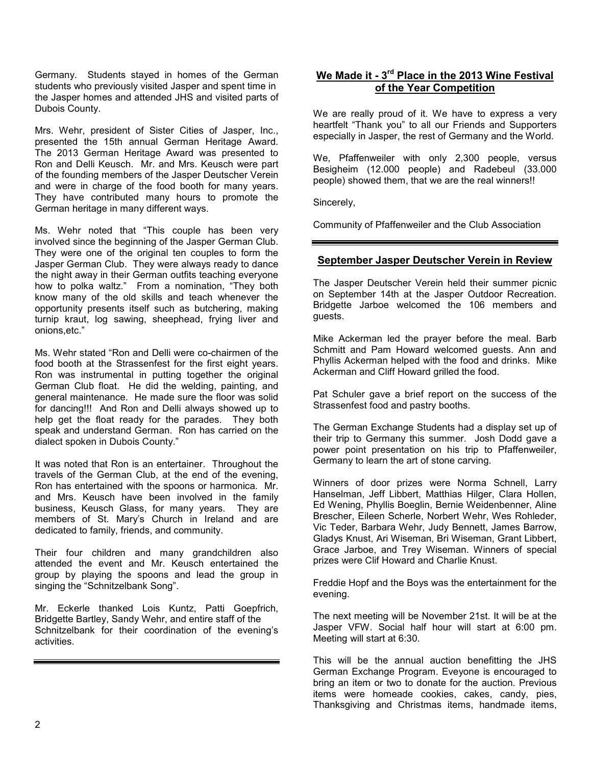Germany. Students stayed in homes of the German students who previously visited Jasper and spent time in the Jasper homes and attended JHS and visited parts of Dubois County.

Mrs. Wehr, president of Sister Cities of Jasper, Inc., presented the 15th annual German Heritage Award. The 2013 German Heritage Award was presented to Ron and Delli Keusch. Mr. and Mrs. Keusch were part of the founding members of the Jasper Deutscher Verein and were in charge of the food booth for many years. They have contributed many hours to promote the German heritage in many different ways.

Ms. Wehr noted that "This couple has been very involved since the beginning of the Jasper German Club. They were one of the original ten couples to form the Jasper German Club. They were always ready to dance the night away in their German outfits teaching everyone how to polka waltz." From a nomination, "They both know many of the old skills and teach whenever the opportunity presents itself such as butchering, making turnip kraut, log sawing, sheephead, frying liver and onions,etc."

Ms. Wehr stated "Ron and Delli were co-chairmen of the food booth at the Strassenfest for the first eight years. Ron was instrumental in putting together the original German Club float. He did the welding, painting, and general maintenance. He made sure the floor was solid for dancing!!! And Ron and Delli always showed up to help get the float ready for the parades. They both speak and understand German. Ron has carried on the dialect spoken in Dubois County."

It was noted that Ron is an entertainer. Throughout the travels of the German Club, at the end of the evening, Ron has entertained with the spoons or harmonica. Mr. and Mrs. Keusch have been involved in the family business, Keusch Glass, for many years. They are members of St. Mary's Church in Ireland and are dedicated to family, friends, and community.

Their four children and many grandchildren also attended the event and Mr. Keusch entertained the group by playing the spoons and lead the group in singing the "Schnitzelbank Song".

Mr. Eckerle thanked Lois Kuntz, Patti Goepfrich, Bridgette Bartley, Sandy Wehr, and entire staff of the Schnitzelbank for their coordination of the evening's activities.

# **We Made it - 3rd Place in the 2013 Wine Festival of the Year Competition**

We are really proud of it. We have to express a very heartfelt "Thank you" to all our Friends and Supporters especially in Jasper, the rest of Germany and the World.

We, Pfaffenweiler with only 2,300 people, versus Besigheim (12.000 people) and Radebeul (33.000 people) showed them, that we are the real winners!!

Sincerely,

Community of Pfaffenweiler and the Club Association

#### **September Jasper Deutscher Verein in Review**

The Jasper Deutscher Verein held their summer picnic on September 14th at the Jasper Outdoor Recreation. Bridgette Jarboe welcomed the 106 members and guests.

Mike Ackerman led the prayer before the meal. Barb Schmitt and Pam Howard welcomed guests. Ann and Phyllis Ackerman helped with the food and drinks. Mike Ackerman and Cliff Howard grilled the food.

Pat Schuler gave a brief report on the success of the Strassenfest food and pastry booths.

The German Exchange Students had a display set up of their trip to Germany this summer. Josh Dodd gave a power point presentation on his trip to Pfaffenweiler, Germany to learn the art of stone carving.

Winners of door prizes were Norma Schnell, Larry Hanselman, Jeff Libbert, Matthias Hilger, Clara Hollen, Ed Wening, Phyllis Boeglin, Bernie Weidenbenner, Aline Brescher, Eileen Scherle, Norbert Wehr, Wes Rohleder, Vic Teder, Barbara Wehr, Judy Bennett, James Barrow, Gladys Knust, Ari Wiseman, Bri Wiseman, Grant Libbert, Grace Jarboe, and Trey Wiseman. Winners of special prizes were Clif Howard and Charlie Knust.

Freddie Hopf and the Boys was the entertainment for the evening.

The next meeting will be November 21st. It will be at the Jasper VFW. Social half hour will start at 6:00 pm. Meeting will start at 6:30.

This will be the annual auction benefitting the JHS German Exchange Program. Eveyone is encouraged to bring an item or two to donate for the auction. Previous items were homeade cookies, cakes, candy, pies, Thanksgiving and Christmas items, handmade items,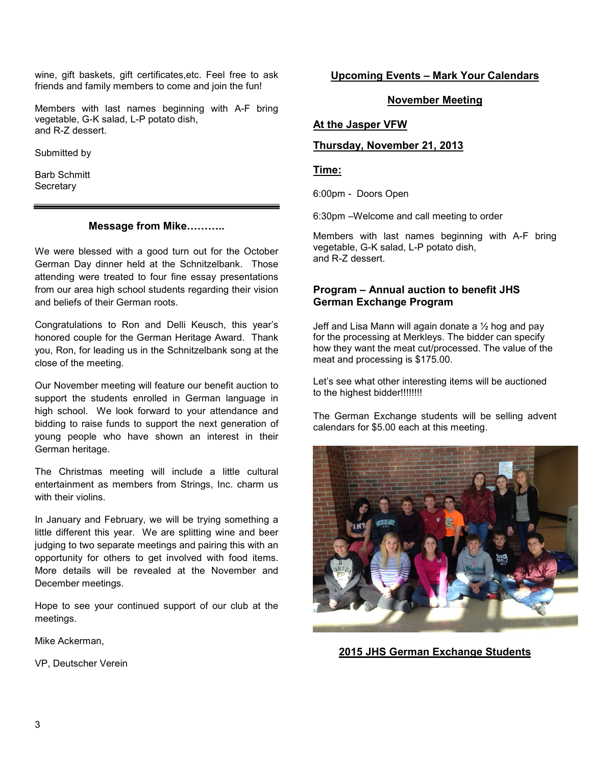wine, gift baskets, gift certificates,etc. Feel free to ask friends and family members to come and join the fun!

Members with last names beginning with A-F bring vegetable, G-K salad, L-P potato dish, and R-Z dessert.

Submitted by

Barb Schmitt **Secretary** 

#### **Message from Mike...........**

We were blessed with a good turn out for the October German Day dinner held at the Schnitzelbank. Those attending were treated to four fine essay presentations from our area high school students regarding their vision and beliefs of their German roots.

Congratulations to Ron and Delli Keusch, this year's honored couple for the German Heritage Award. Thank you, Ron, for leading us in the Schnitzelbank song at the close of the meeting.

Our November meeting will feature our benefit auction to support the students enrolled in German language in high school. We look forward to your attendance and bidding to raise funds to support the next generation of young people who have shown an interest in their German heritage.

The Christmas meeting will include a little cultural entertainment as members from Strings, Inc. charm us with their violins.

In January and February, we will be trying something a little different this year. We are splitting wine and beer judging to two separate meetings and pairing this with an opportunity for others to get involved with food items. More details will be revealed at the November and December meetings.

Hope to see your continued support of our club at the meetings.

Mike Ackerman,

VP, Deutscher Verein

#### **Upcoming Events – Mark Your Calendars**

#### **November Meeting**

#### **At the Jasper VFW**

#### **Thursday, November 21, 2013**

#### **Time:**

6:00pm - Doors Open

6:30pm –Welcome and call meeting to order

Members with last names beginning with A-F bring vegetable, G-K salad, L-P potato dish, and R-Z dessert.

#### **Program – Annual auction to benefit JHS German Exchange Program**

Jeff and Lisa Mann will again donate a  $\frac{1}{2}$  hog and pay for the processing at Merkleys. The bidder can specify how they want the meat cut/processed. The value of the meat and processing is \$175.00.

Let's see what other interesting items will be auctioned to the highest bidder!!!!!!!!!

The German Exchange students will be selling advent calendars for \$5.00 each at this meeting.



**2015 JHS German Exchange Students**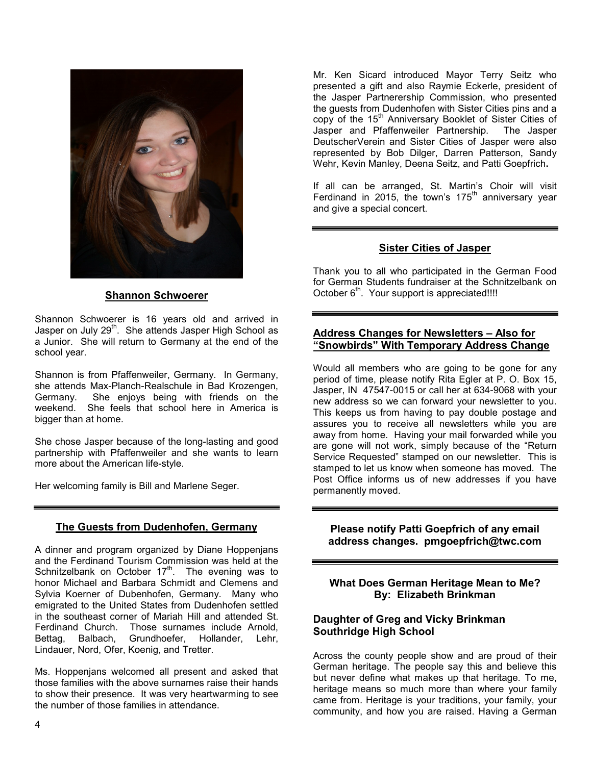

#### **Shannon Schwoerer**

Shannon Schwoerer is 16 years old and arrived in Jasper on July 29<sup>th</sup>. She attends Jasper High School as a Junior. She will return to Germany at the end of the school year.

Shannon is from Pfaffenweiler, Germany. In Germany, she attends Max-Planch-Realschule in Bad Krozengen, Germany. She enjoys being with friends on the weekend. She feels that school here in America is bigger than at home.

She chose Jasper because of the long-lasting and good partnership with Pfaffenweiler and she wants to learn more about the American life-style.

Her welcoming family is Bill and Marlene Seger.

# **The Guests from Dudenhofen, Germany**

A dinner and program organized by Diane Hoppenjans and the Ferdinand Tourism Commission was held at the Schnitzelbank on October  $17<sup>th</sup>$ . The evening was to honor Michael and Barbara Schmidt and Clemens and Sylvia Koerner of Dubenhofen, Germany. Many who emigrated to the United States from Dudenhofen settled in the southeast corner of Mariah Hill and attended St. Ferdinand Church. Those surnames include Arnold, Bettag, Balbach, Grundhoefer, Hollander, Lehr, Lindauer, Nord, Ofer, Koenig, and Tretter.

Ms. Hoppenjans welcomed all present and asked that those families with the above surnames raise their hands to show their presence. It was very heartwarming to see the number of those families in attendance.

Mr. Ken Sicard introduced Mayor Terry Seitz who presented a gift and also Raymie Eckerle, president of the Jasper Partnerership Commission, who presented the guests from Dudenhofen with Sister Cities pins and a copy of the 15<sup>th</sup> Anniversary Booklet of Sister Cities of Jasper and Pfaffenweiler Partnership. The Jasper DeutscherVerein and Sister Cities of Jasper were also represented by Bob Dilger, Darren Patterson, Sandy Wehr, Kevin Manley, Deena Seitz, and Patti Goepfrich**.** 

If all can be arranged, St. Martin's Choir will visit Ferdinand in 2015, the town's 175<sup>th</sup> anniversary year and give a special concert.

#### **Sister Cities of Jasper**

Thank you to all who participated in the German Food for German Students fundraiser at the Schnitzelbank on October 6<sup>th</sup>. Your support is appreciated!!!!

#### **Address Changes for Newsletters – Also for "Snowbirds" With Temporary Address Change**

Would all members who are going to be gone for any period of time, please notify Rita Egler at P. O. Box 15, Jasper, IN 47547-0015 or call her at 634-9068 with your new address so we can forward your newsletter to you. This keeps us from having to pay double postage and assures you to receive all newsletters while you are away from home. Having your mail forwarded while you are gone will not work, simply because of the "Return Service Requested" stamped on our newsletter. This is stamped to let us know when someone has moved. The Post Office informs us of new addresses if you have permanently moved.

**Please notify Patti Goepfrich of any email address changes. pmgoepfrich@twc.com** 

**What Does German Heritage Mean to Me? By: Elizabeth Brinkman** 

# **Daughter of Greg and Vicky Brinkman Southridge High School**

Across the county people show and are proud of their German heritage. The people say this and believe this but never define what makes up that heritage. To me, heritage means so much more than where your family came from. Heritage is your traditions, your family, your community, and how you are raised. Having a German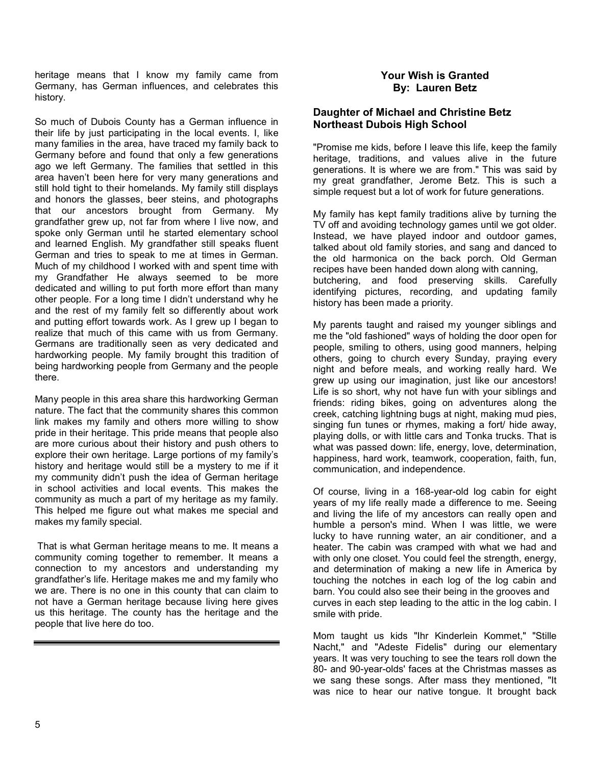heritage means that I know my family came from Germany, has German influences, and celebrates this history.

So much of Dubois County has a German influence in their life by just participating in the local events. I, like many families in the area, have traced my family back to Germany before and found that only a few generations ago we left Germany. The families that settled in this area haven't been here for very many generations and still hold tight to their homelands. My family still displays and honors the glasses, beer steins, and photographs that our ancestors brought from Germany. My grandfather grew up, not far from where I live now, and spoke only German until he started elementary school and learned English. My grandfather still speaks fluent German and tries to speak to me at times in German. Much of my childhood I worked with and spent time with my Grandfather He always seemed to be more dedicated and willing to put forth more effort than many other people. For a long time I didn't understand why he and the rest of my family felt so differently about work and putting effort towards work. As I grew up I began to realize that much of this came with us from Germany. Germans are traditionally seen as very dedicated and hardworking people. My family brought this tradition of being hardworking people from Germany and the people there.

Many people in this area share this hardworking German nature. The fact that the community shares this common link makes my family and others more willing to show pride in their heritage. This pride means that people also are more curious about their history and push others to explore their own heritage. Large portions of my family's history and heritage would still be a mystery to me if it my community didn't push the idea of German heritage in school activities and local events. This makes the community as much a part of my heritage as my family. This helped me figure out what makes me special and makes my family special.

 That is what German heritage means to me. It means a community coming together to remember. It means a connection to my ancestors and understanding my grandfather's life. Heritage makes me and my family who we are. There is no one in this county that can claim to not have a German heritage because living here gives us this heritage. The county has the heritage and the people that live here do too.

# **Your Wish is Granted By: Lauren Betz**

# **Daughter of Michael and Christine Betz Northeast Dubois High School**

"Promise me kids, before I leave this life, keep the family heritage, traditions, and values alive in the future generations. It is where we are from." This was said by my great grandfather, Jerome Betz. This is such a simple request but a lot of work for future generations.

My family has kept family traditions alive by turning the TV off and avoiding technology games until we got older. Instead, we have played indoor and outdoor games, talked about old family stories, and sang and danced to the old harmonica on the back porch. Old German recipes have been handed down along with canning, butchering, and food preserving skills. Carefully identifying pictures, recording, and updating family history has been made a priority.

My parents taught and raised my younger siblings and me the "old fashioned" ways of holding the door open for people, smiling to others, using good manners, helping others, going to church every Sunday, praying every night and before meals, and working really hard. We grew up using our imagination, just like our ancestors! Life is so short, why not have fun with your siblings and friends: riding bikes, going on adventures along the creek, catching lightning bugs at night, making mud pies, singing fun tunes or rhymes, making a fort/ hide away, playing dolls, or with little cars and Tonka trucks. That is what was passed down: life, energy, love, determination, happiness, hard work, teamwork, cooperation, faith, fun, communication, and independence.

Of course, living in a 168-year-old log cabin for eight years of my life really made a difference to me. Seeing and living the life of my ancestors can really open and humble a person's mind. When I was little, we were lucky to have running water, an air conditioner, and a heater. The cabin was cramped with what we had and with only one closet. You could feel the strength, energy, and determination of making a new life in America by touching the notches in each log of the log cabin and barn. You could also see their being in the grooves and curves in each step leading to the attic in the log cabin. I smile with pride.

Mom taught us kids "Ihr Kinderlein Kommet," "Stille Nacht," and "Adeste Fidelis" during our elementary years. It was very touching to see the tears roll down the 80- and 90-year-olds' faces at the Christmas masses as we sang these songs. After mass they mentioned, "It was nice to hear our native tongue. It brought back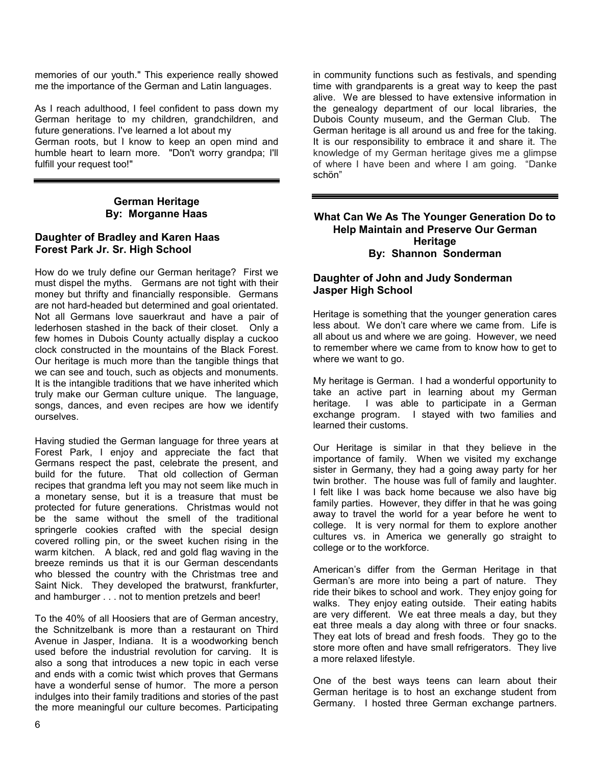memories of our youth." This experience really showed me the importance of the German and Latin languages.

As I reach adulthood, I feel confident to pass down my German heritage to my children, grandchildren, and future generations. I've learned a lot about my German roots, but I know to keep an open mind and humble heart to learn more. "Don't worry grandpa; I'll fulfill your request too!"

## **German Heritage By: Morganne Haas**

## **Daughter of Bradley and Karen Haas Forest Park Jr. Sr. High School**

How do we truly define our German heritage? First we must dispel the myths. Germans are not tight with their money but thrifty and financially responsible. Germans are not hard-headed but determined and goal orientated. Not all Germans love sauerkraut and have a pair of lederhosen stashed in the back of their closet. Only a few homes in Dubois County actually display a cuckoo clock constructed in the mountains of the Black Forest. Our heritage is much more than the tangible things that we can see and touch, such as objects and monuments. It is the intangible traditions that we have inherited which truly make our German culture unique. The language, songs, dances, and even recipes are how we identify ourselves.

Having studied the German language for three years at Forest Park, I enjoy and appreciate the fact that Germans respect the past, celebrate the present, and build for the future. That old collection of German recipes that grandma left you may not seem like much in a monetary sense, but it is a treasure that must be protected for future generations. Christmas would not be the same without the smell of the traditional springerle cookies crafted with the special design covered rolling pin, or the sweet kuchen rising in the warm kitchen. A black, red and gold flag waving in the breeze reminds us that it is our German descendants who blessed the country with the Christmas tree and Saint Nick. They developed the bratwurst, frankfurter, and hamburger . . . not to mention pretzels and beer!

To the 40% of all Hoosiers that are of German ancestry, the Schnitzelbank is more than a restaurant on Third Avenue in Jasper, Indiana. It is a woodworking bench used before the industrial revolution for carving. It is also a song that introduces a new topic in each verse and ends with a comic twist which proves that Germans have a wonderful sense of humor. The more a person indulges into their family traditions and stories of the past the more meaningful our culture becomes. Participating

in community functions such as festivals, and spending time with grandparents is a great way to keep the past alive. We are blessed to have extensive information in the genealogy department of our local libraries, the Dubois County museum, and the German Club. The German heritage is all around us and free for the taking. It is our responsibility to embrace it and share it. The knowledge of my German heritage gives me a glimpse of where I have been and where I am going. "Danke schön"

#### **What Can We As The Younger Generation Do to Help Maintain and Preserve Our German Heritage By: Shannon Sonderman**

# **Daughter of John and Judy Sonderman Jasper High School**

Heritage is something that the younger generation cares less about. We don't care where we came from. Life is all about us and where we are going. However, we need to remember where we came from to know how to get to where we want to go.

My heritage is German. I had a wonderful opportunity to take an active part in learning about my German heritage. I was able to participate in a German exchange program. I stayed with two families and learned their customs.

Our Heritage is similar in that they believe in the importance of family. When we visited my exchange sister in Germany, they had a going away party for her twin brother. The house was full of family and laughter. I felt like I was back home because we also have big family parties. However, they differ in that he was going away to travel the world for a year before he went to college. It is very normal for them to explore another cultures vs. in America we generally go straight to college or to the workforce.

American's differ from the German Heritage in that German's are more into being a part of nature. They ride their bikes to school and work. They enjoy going for walks. They enjoy eating outside. Their eating habits are very different. We eat three meals a day, but they eat three meals a day along with three or four snacks. They eat lots of bread and fresh foods. They go to the store more often and have small refrigerators. They live a more relaxed lifestyle.

One of the best ways teens can learn about their German heritage is to host an exchange student from Germany. I hosted three German exchange partners.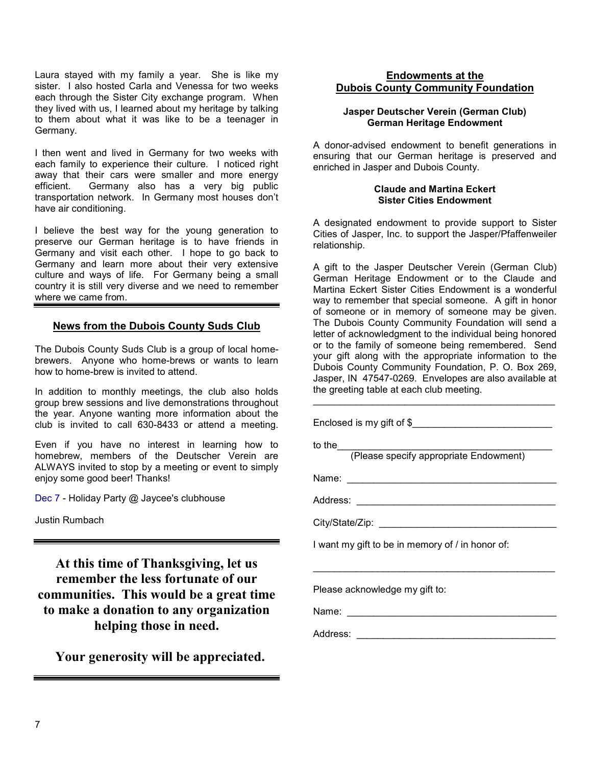Laura stayed with my family a year. She is like my sister. I also hosted Carla and Venessa for two weeks each through the Sister City exchange program. When they lived with us, I learned about my heritage by talking to them about what it was like to be a teenager in Germany.

I then went and lived in Germany for two weeks with each family to experience their culture. I noticed right away that their cars were smaller and more energy efficient. Germany also has a very big public transportation network. In Germany most houses don't have air conditioning.

I believe the best way for the young generation to preserve our German heritage is to have friends in Germany and visit each other. I hope to go back to Germany and learn more about their very extensive culture and ways of life. For Germany being a small country it is still very diverse and we need to remember where we came from.

#### **News from the Dubois County Suds Club**

The Dubois County Suds Club is a group of local homebrewers. Anyone who home-brews or wants to learn how to home-brew is invited to attend.

In addition to monthly meetings, the club also holds group brew sessions and live demonstrations throughout the year. Anyone wanting more information about the club is invited to call 630-8433 or attend a meeting.

Even if you have no interest in learning how to homebrew, members of the Deutscher Verein are ALWAYS invited to stop by a meeting or event to simply enjoy some good beer! Thanks!

Dec 7 - Holiday Party @ Jaycee's clubhouse

Justin Rumbach

**At this time of Thanksgiving, let us remember the less fortunate of our communities. This would be a great time to make a donation to any organization helping those in need.** 

 **Your generosity will be appreciated.** 

## **Endowments at the Dubois County Community Foundation**

#### **Jasper Deutscher Verein (German Club) German Heritage Endowment**

A donor-advised endowment to benefit generations in ensuring that our German heritage is preserved and enriched in Jasper and Dubois County.

#### **Claude and Martina Eckert Sister Cities Endowment**

A designated endowment to provide support to Sister Cities of Jasper, Inc. to support the Jasper/Pfaffenweiler relationship.

A gift to the Jasper Deutscher Verein (German Club) German Heritage Endowment or to the Claude and Martina Eckert Sister Cities Endowment is a wonderful way to remember that special someone. A gift in honor of someone or in memory of someone may be given. The Dubois County Community Foundation will send a letter of acknowledgment to the individual being honored or to the family of someone being remembered. Send your gift along with the appropriate information to the Dubois County Community Foundation, P. O. Box 269, Jasper, IN 47547-0269. Envelopes are also available at the greeting table at each club meeting.

\_\_\_\_\_\_\_\_\_\_\_\_\_\_\_\_\_\_\_\_\_\_\_\_\_\_\_\_\_\_\_\_\_\_\_\_\_\_\_\_\_\_\_\_\_

Enclosed is my gift of \$\_\_\_\_\_\_\_\_\_\_\_\_\_\_\_\_\_\_\_\_\_\_\_\_\_\_ to the\_\_\_\_\_\_\_\_\_\_\_\_\_\_\_\_\_\_\_\_\_\_\_\_\_\_\_\_\_\_\_\_\_\_\_\_\_\_\_\_ (Please specify appropriate Endowment) Name: Address: \_\_\_\_\_\_\_\_\_\_\_\_\_\_\_\_\_\_\_\_\_\_\_\_\_\_\_\_\_\_\_\_\_\_\_\_\_ City/State/Zip: \_\_\_\_\_\_\_\_\_\_\_\_\_\_\_\_\_\_\_\_\_\_\_\_\_\_\_\_\_\_\_\_\_ I want my gift to be in memory of / in honor of: \_\_\_\_\_\_\_\_\_\_\_\_\_\_\_\_\_\_\_\_\_\_\_\_\_\_\_\_\_\_\_\_\_\_\_\_\_\_\_\_\_\_\_\_\_ Please acknowledge my gift to: Name: \_\_\_\_\_\_\_\_\_\_\_\_\_\_\_\_\_\_\_\_\_\_\_\_\_\_\_\_\_\_\_\_\_\_\_\_\_\_\_ Address: \_\_\_\_\_\_\_\_\_\_\_\_\_\_\_\_\_\_\_\_\_\_\_\_\_\_\_\_\_\_\_\_\_\_\_\_\_